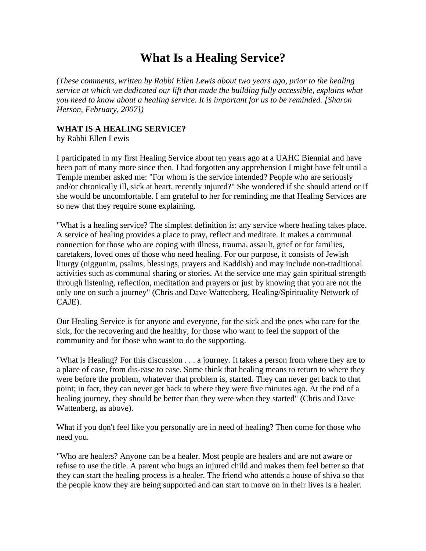## **What Is a Healing Service?**

*(These comments, written by Rabbi Ellen Lewis about two years ago, prior to the healing service at which we dedicated our lift that made the building fully accessible, explains what you need to know about a healing service. It is important for us to be reminded. [Sharon Herson, February, 2007])*

## **WHAT IS A HEALING SERVICE?**

by Rabbi Ellen Lewis

I participated in my first Healing Service about ten years ago at a UAHC Biennial and have been part of many more since then. I had forgotten any apprehension I might have felt until a Temple member asked me: "For whom is the service intended? People who are seriously and/or chronically ill, sick at heart, recently injured?" She wondered if she should attend or if she would be uncomfortable. I am grateful to her for reminding me that Healing Services are so new that they require some explaining.

"What is a healing service? The simplest definition is: any service where healing takes place. A service of healing provides a place to pray, reflect and meditate. It makes a communal connection for those who are coping with illness, trauma, assault, grief or for families, caretakers, loved ones of those who need healing. For our purpose, it consists of Jewish liturgy (niggunim, psalms, blessings, prayers and Kaddish) and may include non-traditional activities such as communal sharing or stories. At the service one may gain spiritual strength through listening, reflection, meditation and prayers or just by knowing that you are not the only one on such a journey" (Chris and Dave Wattenberg, Healing/Spirituality Network of CAJE).

Our Healing Service is for anyone and everyone, for the sick and the ones who care for the sick, for the recovering and the healthy, for those who want to feel the support of the community and for those who want to do the supporting.

"What is Healing? For this discussion . . . a journey. It takes a person from where they are to a place of ease, from dis-ease to ease. Some think that healing means to return to where they were before the problem, whatever that problem is, started. They can never get back to that point; in fact, they can never get back to where they were five minutes ago. At the end of a healing journey, they should be better than they were when they started" (Chris and Dave Wattenberg, as above).

What if you don't feel like you personally are in need of healing? Then come for those who need you.

"Who are healers? Anyone can be a healer. Most people are healers and are not aware or refuse to use the title. A parent who hugs an injured child and makes them feel better so that they can start the healing process is a healer. The friend who attends a house of shiva so that the people know they are being supported and can start to move on in their lives is a healer.